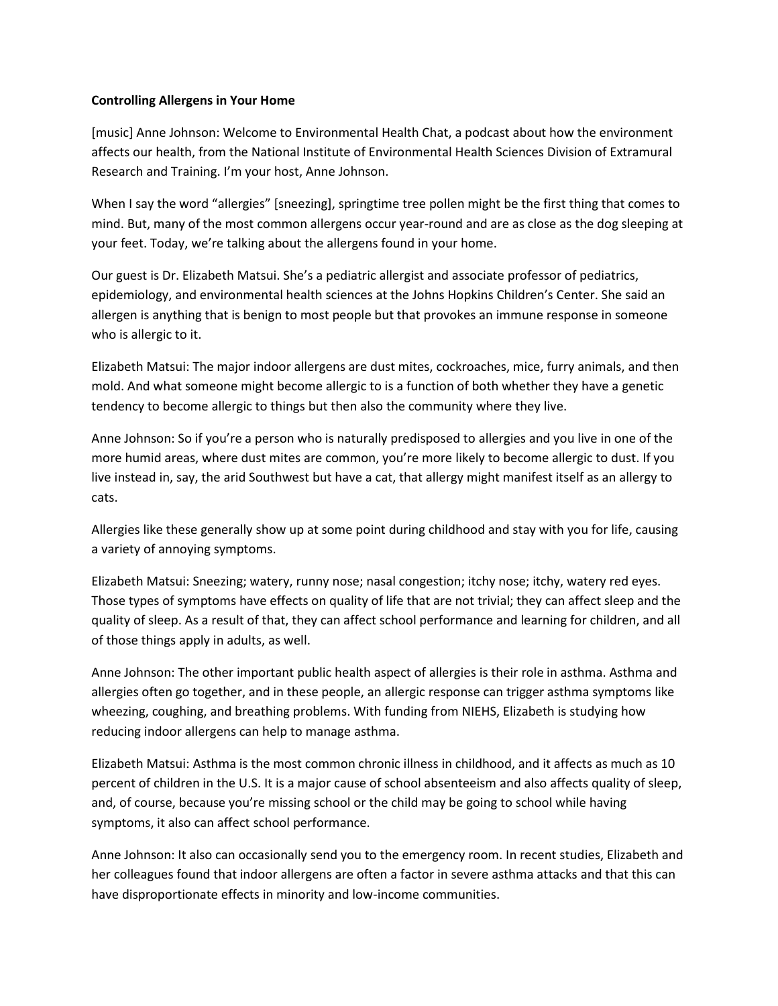## **Controlling Allergens in Your Home**

[music] Anne Johnson: Welcome to Environmental Health Chat, a podcast about how the environment affects our health, from the National Institute of Environmental Health Sciences Division of Extramural Research and Training. I'm your host, Anne Johnson.

When I say the word "allergies" [sneezing], springtime tree pollen might be the first thing that comes to mind. But, many of the most common allergens occur year-round and are as close as the dog sleeping at your feet. Today, we're talking about the allergens found in your home.

Our guest is Dr. Elizabeth Matsui. She's a pediatric allergist and associate professor of pediatrics, epidemiology, and environmental health sciences at the Johns Hopkins Children's Center. She said an allergen is anything that is benign to most people but that provokes an immune response in someone who is allergic to it.

Elizabeth Matsui: The major indoor allergens are dust mites, cockroaches, mice, furry animals, and then mold. And what someone might become allergic to is a function of both whether they have a genetic tendency to become allergic to things but then also the community where they live.

Anne Johnson: So if you're a person who is naturally predisposed to allergies and you live in one of the more humid areas, where dust mites are common, you're more likely to become allergic to dust. If you live instead in, say, the arid Southwest but have a cat, that allergy might manifest itself as an allergy to cats.

Allergies like these generally show up at some point during childhood and stay with you for life, causing a variety of annoying symptoms.

Elizabeth Matsui: Sneezing; watery, runny nose; nasal congestion; itchy nose; itchy, watery red eyes. Those types of symptoms have effects on quality of life that are not trivial; they can affect sleep and the quality of sleep. As a result of that, they can affect school performance and learning for children, and all of those things apply in adults, as well.

Anne Johnson: The other important public health aspect of allergies is their role in asthma. Asthma and allergies often go together, and in these people, an allergic response can trigger asthma symptoms like wheezing, coughing, and breathing problems. With funding from NIEHS, Elizabeth is studying how reducing indoor allergens can help to manage asthma.

Elizabeth Matsui: Asthma is the most common chronic illness in childhood, and it affects as much as 10 percent of children in the U.S. It is a major cause of school absenteeism and also affects quality of sleep, and, of course, because you're missing school or the child may be going to school while having symptoms, it also can affect school performance.

Anne Johnson: It also can occasionally send you to the emergency room. In recent studies, Elizabeth and her colleagues found that indoor allergens are often a factor in severe asthma attacks and that this can have disproportionate effects in minority and low-income communities.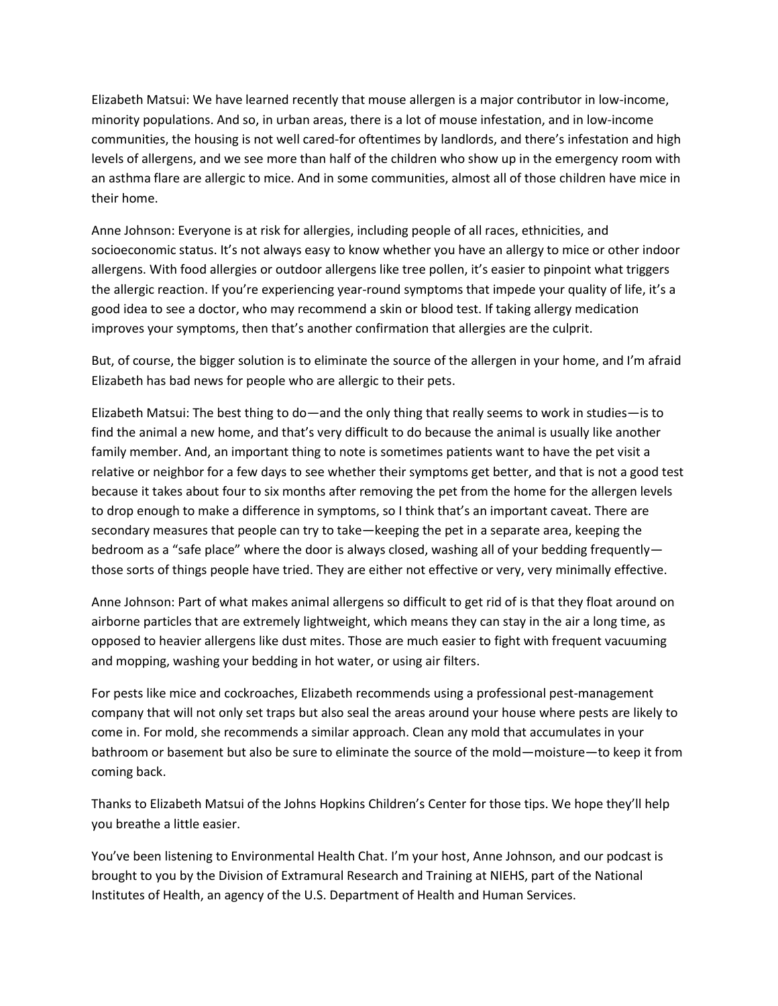Elizabeth Matsui: We have learned recently that mouse allergen is a major contributor in low-income, minority populations. And so, in urban areas, there is a lot of mouse infestation, and in low-income communities, the housing is not well cared-for oftentimes by landlords, and there's infestation and high levels of allergens, and we see more than half of the children who show up in the emergency room with an asthma flare are allergic to mice. And in some communities, almost all of those children have mice in their home.

Anne Johnson: Everyone is at risk for allergies, including people of all races, ethnicities, and socioeconomic status. It's not always easy to know whether you have an allergy to mice or other indoor allergens. With food allergies or outdoor allergens like tree pollen, it's easier to pinpoint what triggers the allergic reaction. If you're experiencing year-round symptoms that impede your quality of life, it's a good idea to see a doctor, who may recommend a skin or blood test. If taking allergy medication improves your symptoms, then that's another confirmation that allergies are the culprit.

But, of course, the bigger solution is to eliminate the source of the allergen in your home, and I'm afraid Elizabeth has bad news for people who are allergic to their pets.

Elizabeth Matsui: The best thing to do—and the only thing that really seems to work in studies—is to find the animal a new home, and that's very difficult to do because the animal is usually like another family member. And, an important thing to note is sometimes patients want to have the pet visit a relative or neighbor for a few days to see whether their symptoms get better, and that is not a good test because it takes about four to six months after removing the pet from the home for the allergen levels to drop enough to make a difference in symptoms, so I think that's an important caveat. There are secondary measures that people can try to take—keeping the pet in a separate area, keeping the bedroom as a "safe place" where the door is always closed, washing all of your bedding frequently those sorts of things people have tried. They are either not effective or very, very minimally effective.

Anne Johnson: Part of what makes animal allergens so difficult to get rid of is that they float around on airborne particles that are extremely lightweight, which means they can stay in the air a long time, as opposed to heavier allergens like dust mites. Those are much easier to fight with frequent vacuuming and mopping, washing your bedding in hot water, or using air filters.

For pests like mice and cockroaches, Elizabeth recommends using a professional pest-management company that will not only set traps but also seal the areas around your house where pests are likely to come in. For mold, she recommends a similar approach. Clean any mold that accumulates in your bathroom or basement but also be sure to eliminate the source of the mold—moisture—to keep it from coming back.

Thanks to Elizabeth Matsui of the Johns Hopkins Children's Center for those tips. We hope they'll help you breathe a little easier.

You've been listening to Environmental Health Chat. I'm your host, Anne Johnson, and our podcast is brought to you by the Division of Extramural Research and Training at NIEHS, part of the National Institutes of Health, an agency of the U.S. Department of Health and Human Services.